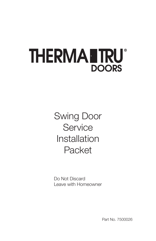## **THERMANTRU DOORS**

Swing Door **Service** Installation Packet

Do Not Discard Leave with Homeowner

Part No. 7500026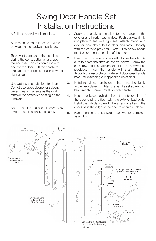## Swing Door Handle Set Installation Instructions

A Phillips screwdriver is required.

A 3mm hex wrench for set screws is provided in the hardware package.

To prevent damage to the handle set during the construction phase, use the enclosed construction handle to operate the door. Lift the handle to engage the multipoints. Push down to disengage.

Use water and a soft cloth to clean. Do not use brass cleaner or solvent based cleaning agents as they will remove the protective coating on the hardware.

Note: Handles and backplates vary by style but application is the same.

- 1. Apply the backplate gasket to the inside of the exterior and interior backplates. Push gaskets firmly into place to ensure a tight seal. Attach interior and exterior backplates to the door and fasten loosely with the screws provided. Note: The screw heads must be on the interior side of the door.
- 2. Insert the two-piece handle shaft into one handle. Be sure to orient the shaft as shown below. Screw the set screw until flush with handle using the hex wrench provided. Insert the handle with shaft attached through the escutcheon plate and door gear handle hole until extending out opposite side of door.
- 3. Install remaining handle onto shaft, pressing tightly to the backplates. Tighten the handle set screw with hex wrench. Screw until flush with handle.
- 4. Insert the keyed cylinder from the interior side of the door until it is flush with the exterior backplate. Install the cylinder screw in the screw hole below the deadbolt in the edge of the door to secure in place.
- 5. Hand tighten the backplate screws to complete assembly.

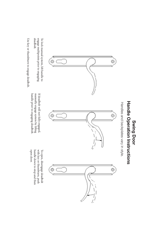# Swing Door<br>Handle Operation Instructions Handle Operation Instructions Swing Door

Handles and backplates vary in style. Handles and backplates vary in style.



deadbolt. engage multipoints prior to engaging To lock manual system, lift handle to deadbolt. engage multipoints prior to engaging To lock manual system, lift handle to

Use key or thumbturn to engage deadbolt. Use key or thumbturn to engage deadbolt.

> $\odot$ Ó l.



manually engage system by lifting<br>handle prior to engaging deadbolt. If deadbolt will not fully engaged, handle prior to engaging deadbolt. manually engage system by lifting If deadbolt will not fully engaged,

open door. with key or thumbturn, push handle down to stop and then To open, disengage deadbolt handle down to stop and then with key or thumbturn, push To open, disengage deadbolt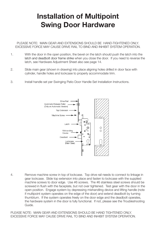## Installation of Multipoint Swing Door Hardware

PLEASE NOTE: MAIN GEAR AND EXTENSIONS SHOULD BE HAND-TIGHTENED ONLY. EXCESSIVE FORCE MAY CAUSE DRIVE RAIL TO BIND AND INHIBIT SYSTEM OPERATION.

- 1. With the door in the open position, the bevel on the latch should push the latch into the latch and deadbolt door frame strike when you close the door. If you need to reverse the latch, see Hardware Adjustment Sheet also see page 14.
- 2. Slide main gear (shown in drawing) into place aligning holes drilled in door face with cylinder, handle holes and lockcase to properly accommodate trim.
- 3. Install handle set per Swinging Patio Door Handle Set Installation Instructions.



4. Remove machine screw in top of lockcase. Top drive rail needs to connect to linkage in gear lockcase. Slide top extension into place and fasten to lockcase with the supplied machine screws to door edge. Use #6 screws. The #6 stainless steel screws should be screwed in flush with the faceplate, but not over tightened. Test gear with the door in the open position. Engage system by depressing mishandling device and lifting handle (note if multipoint system operates on the edge of the door) and extend deadbolt by turning thumbturn. If the system operates freely on the door edge and the deadbolt operates, the hardware system in the door is fully functional. If not, please see the Troubleshooting Guide.

PLEASE NOTE: MAIN GEAR AND EXTENSIONS SHOULD BE HAND TIGHTENED ONLY. EXCESSIVE FORCE MAY CAUSE DRIVE RAIL TO BIND AND INHIBIT SYSTEM OPERATION.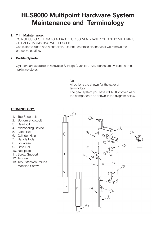### HLS9000 Multipoint Hardware System Maintenance and Terminology

#### 1. Trim Maintenance:

DO NOT SUBJECT TRIM TO ABRASIVE OR SOLVENT-BASED CLEANING MATERIALS OR EARLY TARNISHING WILL RESULT! Use water to clean and a soft cloth. Do not use brass cleaner as it will remove the protective coating.

#### 2. Profile Cylinder:

Cylinders are available in rekeyable Schlage C version. Key blanks are available at most hardware stores

Note:

All options are shown for the sake of terminology. The gear system you have will NOT contain all of the components as shown in the diagram below.

#### TERMINOLOGY:

- 1. Top Shootbolt
- 2. Bottom Shootbolt
- 3. Deadbolt
- 4. Mishandling Device
- 5. Latch Bolt
- 6. Cylinder Hole
- 7. Handle Hole
- 8. Lockcase
- 9. Drive Rail
- 10. Faceplate
- 11. Screw Support
- 12. Tongue
- 13. Top Extension Phillips Machine Screw

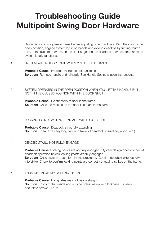## Troubleshooting Guide Multipoint Swing Door Hardware

Be certain door is square in frame before adjusting other hardware. With the door in the open position, engage system by lifting handle and extend deadbolt by turning thumb turn. If the system operates on the door edge and the deadbolt operates, the hardware system is fully functional.

#### 1. SYSTEM WILL NOT OPERATE WHEN YOU LIFT THE HANDLE

Probable Cause: Improper installation of handle set. **Solution:** Remove handle and reinstall. See Handle Set Installation Instructions.

#### 2. SYSTEM OPERATES IN THE OPEN POSITION WHEN YOU LIFT THE HANDLE BUT NOT IN THE CLOSED POSITION WITH THE DOOR SHUT

**Probable Cause:** Relationship of door in the frame. **Solution:** Check to make sure the door is square in the frame.

#### 3. LOCKING POINTS WILL NOT ENGAGE WITH DOOR SHUT

**Probable Cause:** Deadbolt is not fully extending. **Solution:** Clear away anything blocking travel of deadbolt (insulation, wood, etc.).

#### 4. DEADBOLT WILL NOT FULLY ENGAGE

**Probable Cause:** Locking points are not fully engaged. System design does not permit deadbolt operation unless locking points are fully engaged. **Solution:** Check system again for binding problems. Confirm deadbolt extends fully into strike. Check to confirm locking points are correctly engaging strikes on the frame.

#### 5. THUMBTURN OR KEY WILL NOT TURN

**Probable Cause:** Backplates may not be on straight. **Solution:** Confirm that inside and outside holes line up with lockcase. Loosen backplate screws ½ turn.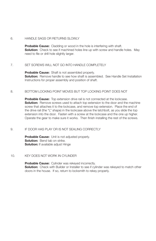#### 6. HANDLE SAGS OR RETURNS SLOWLY

Probable Cause: Cladding or wood in the hole is interfering with shaft. **Solution:** Check to see if machined holes line up with screw and handle holes. May need to file or drill hole slightly larger.

#### 7. SET SCREWS WILL NOT GO INTO HANDLE COMPLETELY

**Probable Cause:** Shaft is not assembled properly. **Solution:** Remove handle to see how shaft is assembled. See Handle Set Installation Instructions for proper assembly and position of shaft.

#### 8. BOTTOM LOCKING POINT MOVES BUT TOP LOCKING POINT DOES NOT

Probable Cause: Top extension drive rail is not connected at the lockcase. **Solution:** Remove screws used to attach top extension to the door and the machine screw that attaches it to the lockcase, and remove top extension. Place the end of the drive rail (the "L" shape) in the lockcase above the latchbolt, as you slide the top extension into the door. Fasten with a screw at the lockcase and the one up higher. Operate the gear to make sure it works. Then finish installing the rest of the screws.

#### 9. IF DOOR HAS PLAY OR IS NOT SEALING CORRECTLY

Probable Cause: Unit is not adjusted properly. Solution: Bend tab on strike. Solution: If available adjust Hinge

#### 10. KEY DOES NOT WORK IN CYLINDER

Probable Cause: Cylinder was rekeyed incorrectly. **Solution:** Check with Builder or Installer to see if cylinder was rekeyed to match other doors in the house. If so, return to locksmith to rekey properly.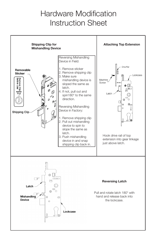## Hardware Modification Instruction Sheet

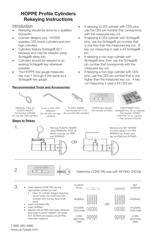#### HOPPE Profile Cylinders Rekeying Instructions

Introduction

- Rekeying should be done by a qualified locksmith.
- Cylinder designs vary. HOPPE supplies CES brand cylinders and nonlogo cylinders.
- Cylinders feature Schlage® SC1 keyways and may be rekeyed using Schlage® rekey kits.
- Cylinders should be rekeyed to an existing Schlage® key whenever possible.
- The HOPPE key gauge measures key cuts 1 through 9 the same as a Schlage® key gauge.

#### Recommended Tools and Accessories

- If rekeying a CES cylinder with CES pins, use the CES pin number that corresponds with the measured key cut.
- If rekeying a CES cylinder with Schlage® pins, use the Schlage® pin number that is one less than the measured key cut. A key cut measuring 4 uses a #3 Schlage® pin.
- If rekeying a non-logo cylinder with Schlage® pins, then use the Schlage® pin number that corresponds with the measured key cut.
- If rekeying a non-logo cylinder with CES pins, use the CES pin number that is one higher than the measured key cut. A key cut measuring 4 uses a #5 CES pin.







PLASTIC INSERT Part Number 8771719 (for use with CES cylinders)

REMOVAL TOOL for PLASTIC INSERT Part Number 2000899 (for use with CES cylinders)

2 mm or 5/64" HEX WRENCH (for use with non-logo cylinders)

#### **Steps to Rekey**





HOPPE KEY GAUGE Part Number 2070820

HOPPE REKEY KITS Schlage® Pins, 30 cyl. capacity - Part Number 3459001 CES Pins, 10 cyl. capacity - Part Number 8785243



2.

#### Determine CORE PIN size with KEYING GAUGE

3. Insert desired CORE PIN into the appropriate cylinder pin hole.

- • Note: for cylinder designs featuring six pin holes, the innermost hole (furthest from the key face) is left blank.
- Insert HOUSING PIN
- Insert SPRING
- Repeat until all PINS have been replaced and install PLASTIC INSERT OR install SET SCREW and repeat until all PINS have been replaced.



1-888-485-4885 www.us.hoppe.com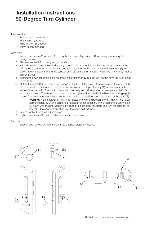#### Installation Instructions 90-Degree Turn Cylinder

Tools required:

Phillips head screw driver Hex wrench (provided) Ring wrench (provided) Pliers (recommended)

Installation:

- 1. Loosen set screw (C) on knob (D) using the hex wrench provided. Knob designs may vary from design shown.
- 2. Remove knob (D) from body of cylinder (B).
- 3. Align drive tab (J) with the cylinder body to install the cylinder into the lock as shown by (G). If the drive tab (J) cannot be rotated to this position, push the pin (E) down with the ring wrench (F) to disengage the stops and turn the cylinder shaft (B) until the drive tab (J) is aligned with the cylinder as shown by (G).
- 4. Holding the cylinder in this position, insert the cylinder body into the lock so the drive tab (J) is inside of the lock.
- 5. Rotate the shaft (B) (use pliers if necessary) so the top of the shaft (B) moves toward the edge of the door or insert the key (A) into the cylinder and rotate so the top of the key (A) moves towards the edge of the door (H). The shaft or key will rotate freely and will stop after approximately 120°. Do not force rotation. The dead bolt should not extend (exception: dead bolt will extend on single point gear). Confirm that one of the two set screw openings is positioned on the bottom of the shaft (B).

(H)

- Warning: If the shaft (B) or key (A) is rotated the wrong direction, the cylinder will lock after approximately 120° and cannot be rotated in either direction. If this happens, push the pin (E) down with the ring wrench (F) included to disengage the stops and turn the shaft (b) or key (A) in the opposite direction until the dead bolt extends.
- 6. Attach knob (D) on shaft (B) as shown.
- 7. Tighten set screw (C). Install cylinder screw (K) as shown.

#### Removal:

1. Loosen and remove cylinder screw (K) and repeat steps 1-4 above.





Knob designs may vary from design shown.